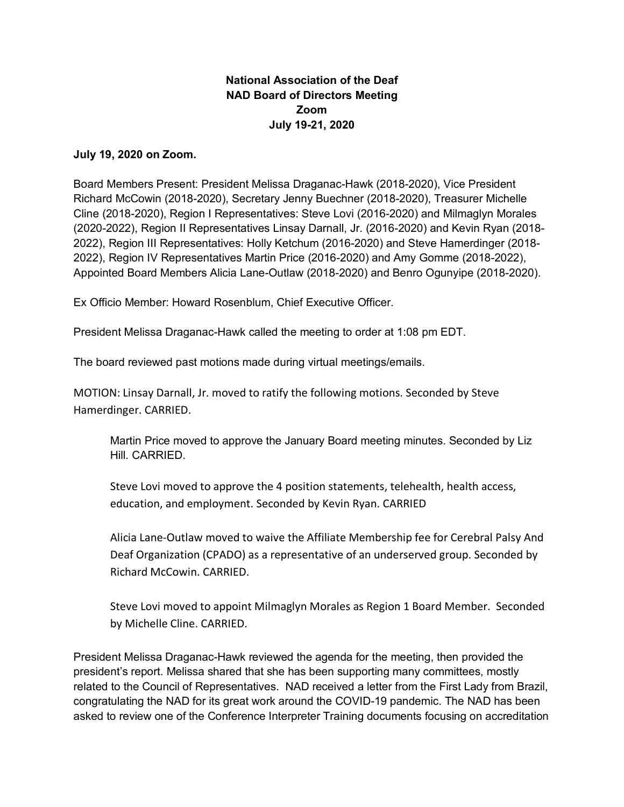## **National Association of the Deaf NAD Board of Directors Meeting Zoom July 19-21, 2020**

## **July 19, 2020 on Zoom.**

Board Members Present: President Melissa Draganac-Hawk (2018-2020), Vice President Richard McCowin (2018-2020), Secretary Jenny Buechner (2018-2020), Treasurer Michelle Cline (2018-2020), Region I Representatives: Steve Lovi (2016-2020) and Milmaglyn Morales (2020-2022), Region II Representatives Linsay Darnall, Jr. (2016-2020) and Kevin Ryan (2018- 2022), Region III Representatives: Holly Ketchum (2016-2020) and Steve Hamerdinger (2018- 2022), Region IV Representatives Martin Price (2016-2020) and Amy Gomme (2018-2022), Appointed Board Members Alicia Lane-Outlaw (2018-2020) and Benro Ogunyipe (2018-2020).

Ex Officio Member: Howard Rosenblum, Chief Executive Officer.

President Melissa Draganac-Hawk called the meeting to order at 1:08 pm EDT.

The board reviewed past motions made during virtual meetings/emails.

MOTION: Linsay Darnall, Jr. moved to ratify the following motions. Seconded by Steve Hamerdinger. CARRIED.

Martin Price moved to approve the January Board meeting minutes. Seconded by Liz Hill. CARRIED.

Steve Lovi moved to approve the 4 position statements, telehealth, health access, education, and employment. Seconded by Kevin Ryan. CARRIED

Alicia Lane-Outlaw moved to waive the Affiliate Membership fee for Cerebral Palsy And Deaf Organization (CPADO) as a representative of an underserved group. Seconded by Richard McCowin. CARRIED.

Steve Lovi moved to appoint Milmaglyn Morales as Region 1 Board Member. Seconded by Michelle Cline. CARRIED.

President Melissa Draganac-Hawk reviewed the agenda for the meeting, then provided the president's report. Melissa shared that she has been supporting many committees, mostly related to the Council of Representatives. NAD received a letter from the First Lady from Brazil, congratulating the NAD for its great work around the COVID-19 pandemic. The NAD has been asked to review one of the Conference Interpreter Training documents focusing on accreditation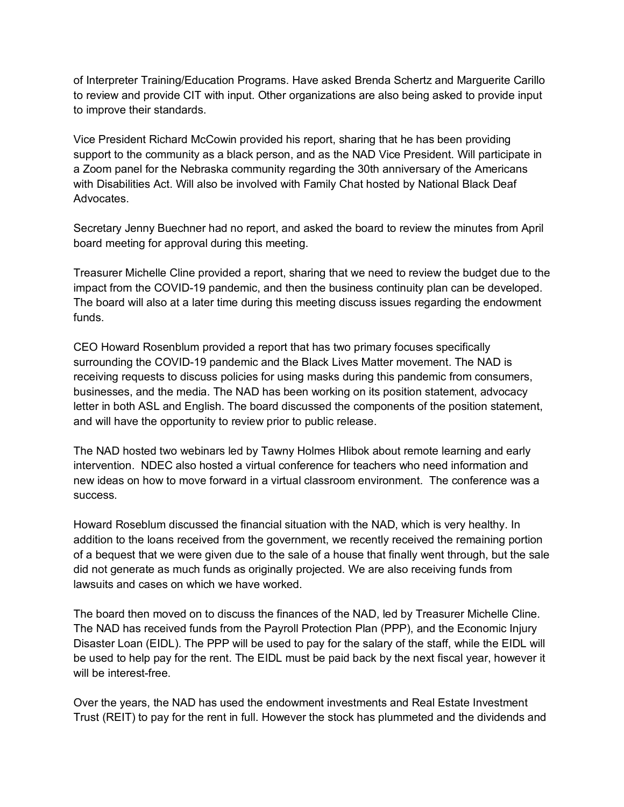of Interpreter Training/Education Programs. Have asked Brenda Schertz and Marguerite Carillo to review and provide CIT with input. Other organizations are also being asked to provide input to improve their standards.

Vice President Richard McCowin provided his report, sharing that he has been providing support to the community as a black person, and as the NAD Vice President. Will participate in a Zoom panel for the Nebraska community regarding the 30th anniversary of the Americans with Disabilities Act. Will also be involved with Family Chat hosted by National Black Deaf **Advocates** 

Secretary Jenny Buechner had no report, and asked the board to review the minutes from April board meeting for approval during this meeting.

Treasurer Michelle Cline provided a report, sharing that we need to review the budget due to the impact from the COVID-19 pandemic, and then the business continuity plan can be developed. The board will also at a later time during this meeting discuss issues regarding the endowment funds.

CEO Howard Rosenblum provided a report that has two primary focuses specifically surrounding the COVID-19 pandemic and the Black Lives Matter movement. The NAD is receiving requests to discuss policies for using masks during this pandemic from consumers, businesses, and the media. The NAD has been working on its position statement, advocacy letter in both ASL and English. The board discussed the components of the position statement, and will have the opportunity to review prior to public release.

The NAD hosted two webinars led by Tawny Holmes Hlibok about remote learning and early intervention. NDEC also hosted a virtual conference for teachers who need information and new ideas on how to move forward in a virtual classroom environment. The conference was a success.

Howard Roseblum discussed the financial situation with the NAD, which is very healthy. In addition to the loans received from the government, we recently received the remaining portion of a bequest that we were given due to the sale of a house that finally went through, but the sale did not generate as much funds as originally projected. We are also receiving funds from lawsuits and cases on which we have worked.

The board then moved on to discuss the finances of the NAD, led by Treasurer Michelle Cline. The NAD has received funds from the Payroll Protection Plan (PPP), and the Economic Injury Disaster Loan (EIDL). The PPP will be used to pay for the salary of the staff, while the EIDL will be used to help pay for the rent. The EIDL must be paid back by the next fiscal year, however it will be interest-free.

Over the years, the NAD has used the endowment investments and Real Estate Investment Trust (REIT) to pay for the rent in full. However the stock has plummeted and the dividends and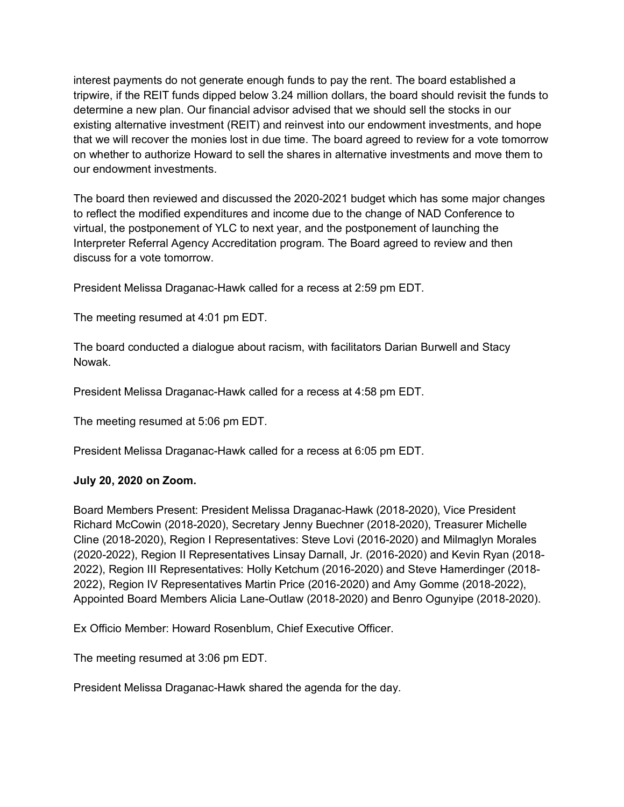interest payments do not generate enough funds to pay the rent. The board established a tripwire, if the REIT funds dipped below 3.24 million dollars, the board should revisit the funds to determine a new plan. Our financial advisor advised that we should sell the stocks in our existing alternative investment (REIT) and reinvest into our endowment investments, and hope that we will recover the monies lost in due time. The board agreed to review for a vote tomorrow on whether to authorize Howard to sell the shares in alternative investments and move them to our endowment investments.

The board then reviewed and discussed the 2020-2021 budget which has some major changes to reflect the modified expenditures and income due to the change of NAD Conference to virtual, the postponement of YLC to next year, and the postponement of launching the Interpreter Referral Agency Accreditation program. The Board agreed to review and then discuss for a vote tomorrow.

President Melissa Draganac-Hawk called for a recess at 2:59 pm EDT.

The meeting resumed at 4:01 pm EDT.

The board conducted a dialogue about racism, with facilitators Darian Burwell and Stacy Nowak.

President Melissa Draganac-Hawk called for a recess at 4:58 pm EDT.

The meeting resumed at 5:06 pm EDT.

President Melissa Draganac-Hawk called for a recess at 6:05 pm EDT.

## **July 20, 2020 on Zoom.**

Board Members Present: President Melissa Draganac-Hawk (2018-2020), Vice President Richard McCowin (2018-2020), Secretary Jenny Buechner (2018-2020), Treasurer Michelle Cline (2018-2020), Region I Representatives: Steve Lovi (2016-2020) and Milmaglyn Morales (2020-2022), Region II Representatives Linsay Darnall, Jr. (2016-2020) and Kevin Ryan (2018- 2022), Region III Representatives: Holly Ketchum (2016-2020) and Steve Hamerdinger (2018- 2022), Region IV Representatives Martin Price (2016-2020) and Amy Gomme (2018-2022), Appointed Board Members Alicia Lane-Outlaw (2018-2020) and Benro Ogunyipe (2018-2020).

Ex Officio Member: Howard Rosenblum, Chief Executive Officer.

The meeting resumed at 3:06 pm EDT.

President Melissa Draganac-Hawk shared the agenda for the day.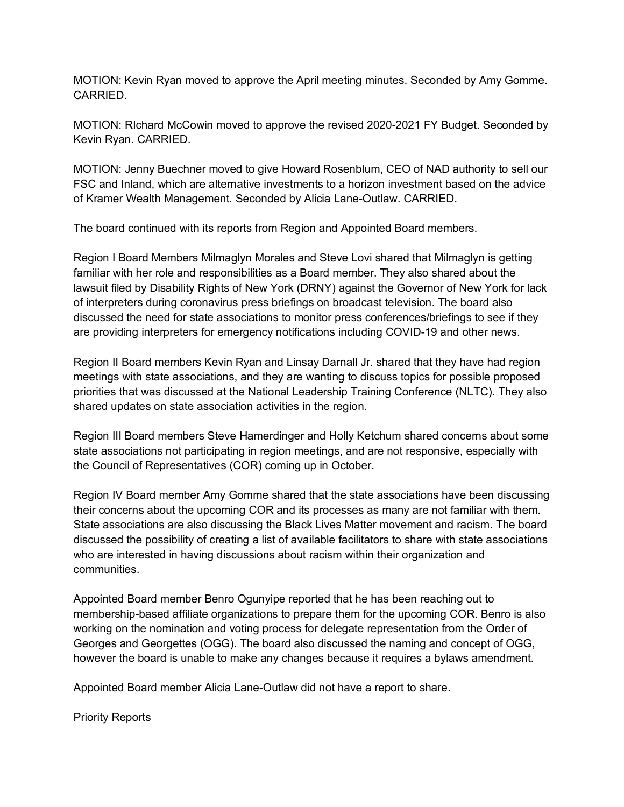MOTION: Kevin Ryan moved to approve the April meeting minutes. Seconded by Amy Gomme. CARRIED.

MOTION: RIchard McCowin moved to approve the revised 2020-2021 FY Budget. Seconded by Kevin Ryan. CARRIED.

MOTION: Jenny Buechner moved to give Howard Rosenblum, CEO of NAD authority to sell our FSC and Inland, which are alternative investments to a horizon investment based on the advice of Kramer Wealth Management. Seconded by Alicia Lane-Outlaw. CARRIED.

The board continued with its reports from Region and Appointed Board members.

Region I Board Members Milmaglyn Morales and Steve Lovi shared that Milmaglyn is getting familiar with her role and responsibilities as a Board member. They also shared about the lawsuit filed by Disability Rights of New York (DRNY) against the Governor of New York for lack of interpreters during coronavirus press briefings on broadcast television. The board also discussed the need for state associations to monitor press conferences/briefings to see if they are providing interpreters for emergency notifications including COVID-19 and other news.

Region II Board members Kevin Ryan and Linsay Darnall Jr. shared that they have had region meetings with state associations, and they are wanting to discuss topics for possible proposed priorities that was discussed at the National Leadership Training Conference (NLTC). They also shared updates on state association activities in the region.

Region III Board members Steve Hamerdinger and Holly Ketchum shared concerns about some state associations not participating in region meetings, and are not responsive, especially with the Council of Representatives (COR) coming up in October.

Region IV Board member Amy Gomme shared that the state associations have been discussing their concerns about the upcoming COR and its processes as many are not familiar with them. State associations are also discussing the Black Lives Matter movement and racism. The board discussed the possibility of creating a list of available facilitators to share with state associations who are interested in having discussions about racism within their organization and communities.

Appointed Board member Benro Ogunyipe reported that he has been reaching out to membership-based affiliate organizations to prepare them for the upcoming COR. Benro is also working on the nomination and voting process for delegate representation from the Order of Georges and Georgettes (OGG). The board also discussed the naming and concept of OGG, however the board is unable to make any changes because it requires a bylaws amendment.

Appointed Board member Alicia Lane-Outlaw did not have a report to share.

Priority Reports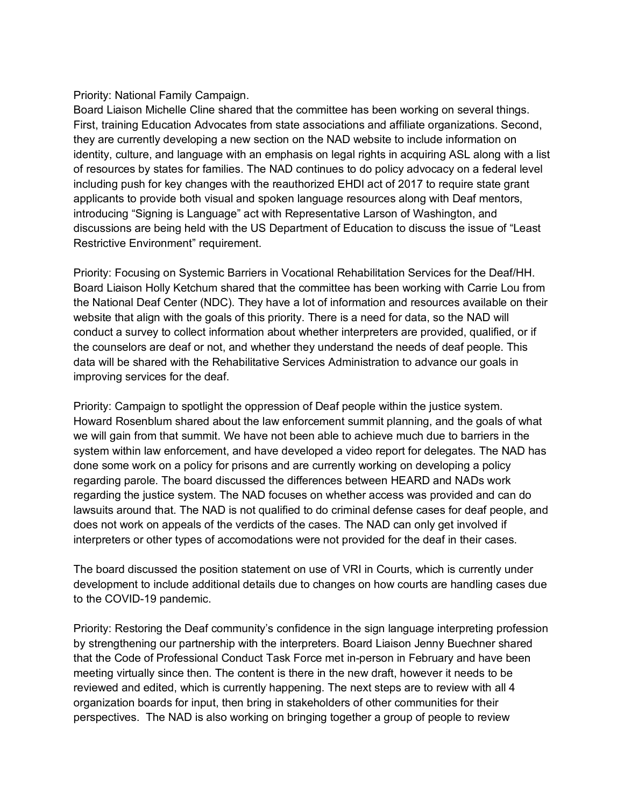## Priority: National Family Campaign.

Board Liaison Michelle Cline shared that the committee has been working on several things. First, training Education Advocates from state associations and affiliate organizations. Second, they are currently developing a new section on the NAD website to include information on identity, culture, and language with an emphasis on legal rights in acquiring ASL along with a list of resources by states for families. The NAD continues to do policy advocacy on a federal level including push for key changes with the reauthorized EHDI act of 2017 to require state grant applicants to provide both visual and spoken language resources along with Deaf mentors, introducing "Signing is Language" act with Representative Larson of Washington, and discussions are being held with the US Department of Education to discuss the issue of "Least Restrictive Environment" requirement.

Priority: Focusing on Systemic Barriers in Vocational Rehabilitation Services for the Deaf/HH. Board Liaison Holly Ketchum shared that the committee has been working with Carrie Lou from the National Deaf Center (NDC). They have a lot of information and resources available on their website that align with the goals of this priority. There is a need for data, so the NAD will conduct a survey to collect information about whether interpreters are provided, qualified, or if the counselors are deaf or not, and whether they understand the needs of deaf people. This data will be shared with the Rehabilitative Services Administration to advance our goals in improving services for the deaf.

Priority: Campaign to spotlight the oppression of Deaf people within the justice system. Howard Rosenblum shared about the law enforcement summit planning, and the goals of what we will gain from that summit. We have not been able to achieve much due to barriers in the system within law enforcement, and have developed a video report for delegates. The NAD has done some work on a policy for prisons and are currently working on developing a policy regarding parole. The board discussed the differences between HEARD and NADs work regarding the justice system. The NAD focuses on whether access was provided and can do lawsuits around that. The NAD is not qualified to do criminal defense cases for deaf people, and does not work on appeals of the verdicts of the cases. The NAD can only get involved if interpreters or other types of accomodations were not provided for the deaf in their cases.

The board discussed the position statement on use of VRI in Courts, which is currently under development to include additional details due to changes on how courts are handling cases due to the COVID-19 pandemic.

Priority: Restoring the Deaf community's confidence in the sign language interpreting profession by strengthening our partnership with the interpreters. Board Liaison Jenny Buechner shared that the Code of Professional Conduct Task Force met in-person in February and have been meeting virtually since then. The content is there in the new draft, however it needs to be reviewed and edited, which is currently happening. The next steps are to review with all 4 organization boards for input, then bring in stakeholders of other communities for their perspectives. The NAD is also working on bringing together a group of people to review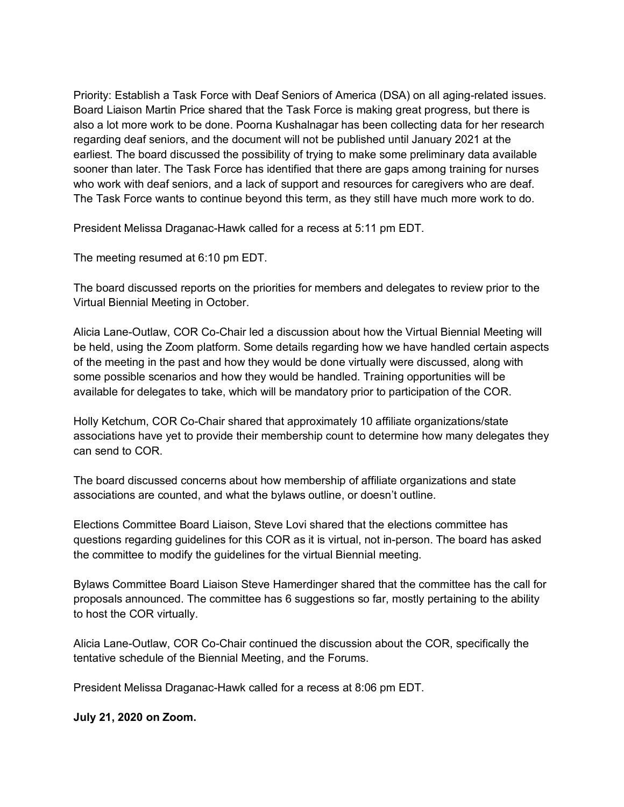Priority: Establish a Task Force with Deaf Seniors of America (DSA) on all aging-related issues. Board Liaison Martin Price shared that the Task Force is making great progress, but there is also a lot more work to be done. Poorna Kushalnagar has been collecting data for her research regarding deaf seniors, and the document will not be published until January 2021 at the earliest. The board discussed the possibility of trying to make some preliminary data available sooner than later. The Task Force has identified that there are gaps among training for nurses who work with deaf seniors, and a lack of support and resources for caregivers who are deaf. The Task Force wants to continue beyond this term, as they still have much more work to do.

President Melissa Draganac-Hawk called for a recess at 5:11 pm EDT.

The meeting resumed at 6:10 pm EDT.

The board discussed reports on the priorities for members and delegates to review prior to the Virtual Biennial Meeting in October.

Alicia Lane-Outlaw, COR Co-Chair led a discussion about how the Virtual Biennial Meeting will be held, using the Zoom platform. Some details regarding how we have handled certain aspects of the meeting in the past and how they would be done virtually were discussed, along with some possible scenarios and how they would be handled. Training opportunities will be available for delegates to take, which will be mandatory prior to participation of the COR.

Holly Ketchum, COR Co-Chair shared that approximately 10 affiliate organizations/state associations have yet to provide their membership count to determine how many delegates they can send to COR.

The board discussed concerns about how membership of affiliate organizations and state associations are counted, and what the bylaws outline, or doesn't outline.

Elections Committee Board Liaison, Steve Lovi shared that the elections committee has questions regarding guidelines for this COR as it is virtual, not in-person. The board has asked the committee to modify the guidelines for the virtual Biennial meeting.

Bylaws Committee Board Liaison Steve Hamerdinger shared that the committee has the call for proposals announced. The committee has 6 suggestions so far, mostly pertaining to the ability to host the COR virtually.

Alicia Lane-Outlaw, COR Co-Chair continued the discussion about the COR, specifically the tentative schedule of the Biennial Meeting, and the Forums.

President Melissa Draganac-Hawk called for a recess at 8:06 pm EDT.

**July 21, 2020 on Zoom.**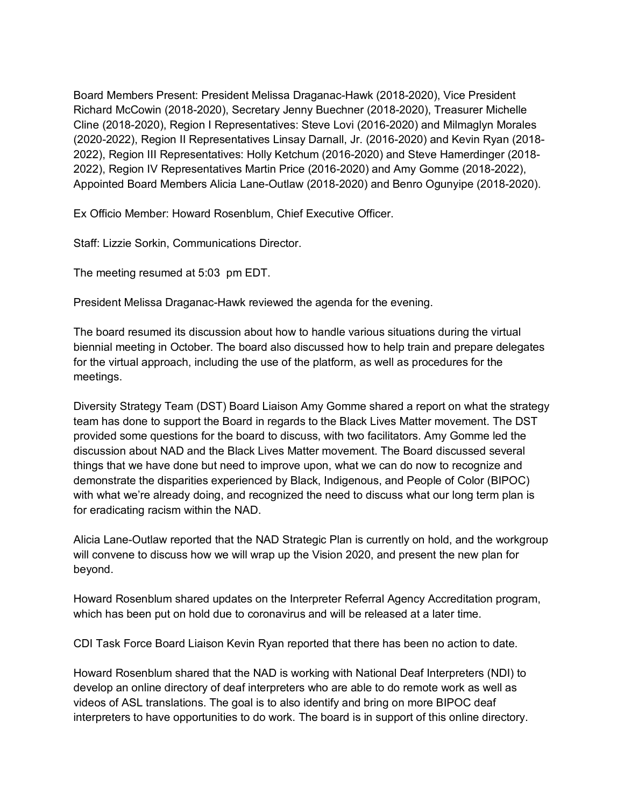Board Members Present: President Melissa Draganac-Hawk (2018-2020), Vice President Richard McCowin (2018-2020), Secretary Jenny Buechner (2018-2020), Treasurer Michelle Cline (2018-2020), Region I Representatives: Steve Lovi (2016-2020) and Milmaglyn Morales (2020-2022), Region II Representatives Linsay Darnall, Jr. (2016-2020) and Kevin Ryan (2018- 2022), Region III Representatives: Holly Ketchum (2016-2020) and Steve Hamerdinger (2018- 2022), Region IV Representatives Martin Price (2016-2020) and Amy Gomme (2018-2022), Appointed Board Members Alicia Lane-Outlaw (2018-2020) and Benro Ogunyipe (2018-2020).

Ex Officio Member: Howard Rosenblum, Chief Executive Officer.

Staff: Lizzie Sorkin, Communications Director.

The meeting resumed at 5:03 pm EDT.

President Melissa Draganac-Hawk reviewed the agenda for the evening.

The board resumed its discussion about how to handle various situations during the virtual biennial meeting in October. The board also discussed how to help train and prepare delegates for the virtual approach, including the use of the platform, as well as procedures for the meetings.

Diversity Strategy Team (DST) Board Liaison Amy Gomme shared a report on what the strategy team has done to support the Board in regards to the Black Lives Matter movement. The DST provided some questions for the board to discuss, with two facilitators. Amy Gomme led the discussion about NAD and the Black Lives Matter movement. The Board discussed several things that we have done but need to improve upon, what we can do now to recognize and demonstrate the disparities experienced by Black, Indigenous, and People of Color (BIPOC) with what we're already doing, and recognized the need to discuss what our long term plan is for eradicating racism within the NAD.

Alicia Lane-Outlaw reported that the NAD Strategic Plan is currently on hold, and the workgroup will convene to discuss how we will wrap up the Vision 2020, and present the new plan for beyond.

Howard Rosenblum shared updates on the Interpreter Referral Agency Accreditation program, which has been put on hold due to coronavirus and will be released at a later time.

CDI Task Force Board Liaison Kevin Ryan reported that there has been no action to date.

Howard Rosenblum shared that the NAD is working with National Deaf Interpreters (NDI) to develop an online directory of deaf interpreters who are able to do remote work as well as videos of ASL translations. The goal is to also identify and bring on more BIPOC deaf interpreters to have opportunities to do work. The board is in support of this online directory.